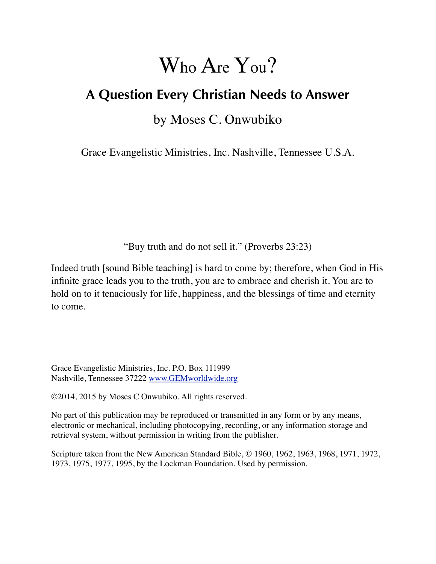# Who Are You?

# **A Question Every Christian Needs to Answer**

# by Moses C. Onwubiko

Grace Evangelistic Ministries, Inc. Nashville, Tennessee U.S.A.

"Buy truth and do not sell it." (Proverbs 23:23)

Indeed truth [sound Bible teaching] is hard to come by; therefore, when God in His infinite grace leads you to the truth, you are to embrace and cherish it. You are to hold on to it tenaciously for life, happiness, and the blessings of time and eternity to come.

Grace Evangelistic Ministries, Inc. P.O. Box 111999 Nashville, Tennessee 37222 [www.GEMworldwide.org](http://www.GEMworldwide.org)

©2014, 2015 by Moses C Onwubiko. All rights reserved.

No part of this publication may be reproduced or transmitted in any form or by any means, electronic or mechanical, including photocopying, recording, or any information storage and retrieval system, without permission in writing from the publisher.

Scripture taken from the New American Standard Bible, © 1960, 1962, 1963, 1968, 1971, 1972, 1973, 1975, 1977, 1995, by the Lockman Foundation. Used by permission.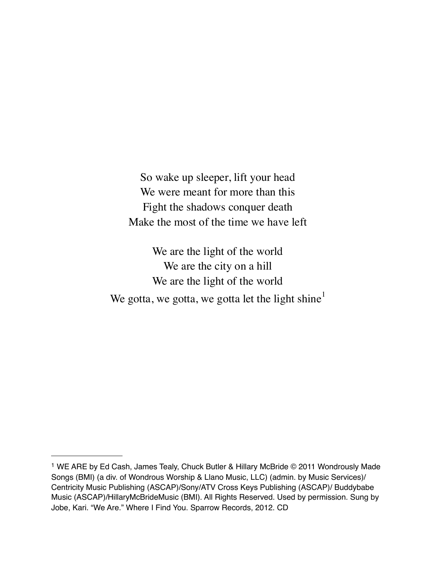So wake up sleeper, lift your head We were meant for more than this Fight the shadows conquer death Make the most of the time we have left

We are the light of the world We are the city on a hill We are the light of the world We gotta, we gotta, we gotta let the light shine $<sup>1</sup>$  $<sup>1</sup>$  $<sup>1</sup>$ </sup>

<span id="page-1-0"></span><sup>1</sup> WE ARE by Ed Cash, James Tealy, Chuck Butler & Hillary McBride © 2011 Wondrously Made Songs (BMI) (a div. of Wondrous Worship & Llano Music, LLC) (admin. by Music Services)/ Centricity Music Publishing (ASCAP)/Sony/ATV Cross Keys Publishing (ASCAP)/ Buddybabe Music (ASCAP)/HillaryMcBrideMusic (BMI). All Rights Reserved. Used by permission. Sung by Jobe, Kari. "We Are." Where I Find You. Sparrow Records, 2012. CD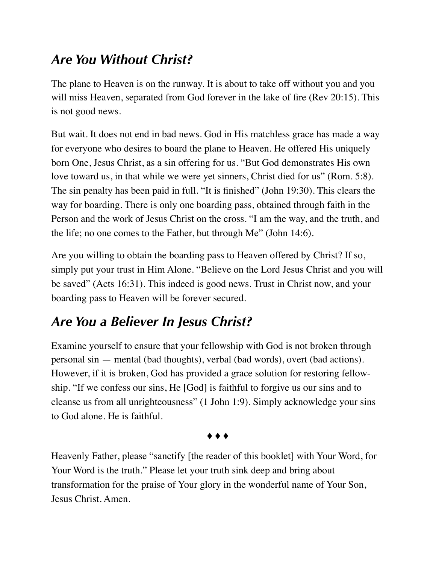# *Are You Without Christ?*

The plane to Heaven is on the runway. It is about to take off without you and you will miss Heaven, separated from God forever in the lake of fire (Rev 20:15). This is not good news.

But wait. It does not end in bad news. God in His matchless grace has made a way for everyone who desires to board the plane to Heaven. He offered His uniquely born One, Jesus Christ, as a sin offering for us. "But God demonstrates His own love toward us, in that while we were yet sinners, Christ died for us" (Rom. 5:8). The sin penalty has been paid in full. "It is finished" (John 19:30). This clears the way for boarding. There is only one boarding pass, obtained through faith in the Person and the work of Jesus Christ on the cross. "I am the way, and the truth, and the life; no one comes to the Father, but through Me" (John 14:6).

Are you willing to obtain the boarding pass to Heaven offered by Christ? If so, simply put your trust in Him Alone. "Believe on the Lord Jesus Christ and you will be saved" (Acts 16:31). This indeed is good news. Trust in Christ now, and your boarding pass to Heaven will be forever secured.

# *Are You a Believer In Jesus Christ?*

Examine yourself to ensure that your fellowship with God is not broken through personal sin — mental (bad thoughts), verbal (bad words), overt (bad actions). However, if it is broken, God has provided a grace solution for restoring fellowship. "If we confess our sins, He [God] is faithful to forgive us our sins and to cleanse us from all unrighteousness" (1 John 1:9). Simply acknowledge your sins to God alone. He is faithful.

♦ ♦ ♦

Heavenly Father, please "sanctify [the reader of this booklet] with Your Word, for Your Word is the truth." Please let your truth sink deep and bring about transformation for the praise of Your glory in the wonderful name of Your Son, Jesus Christ. Amen.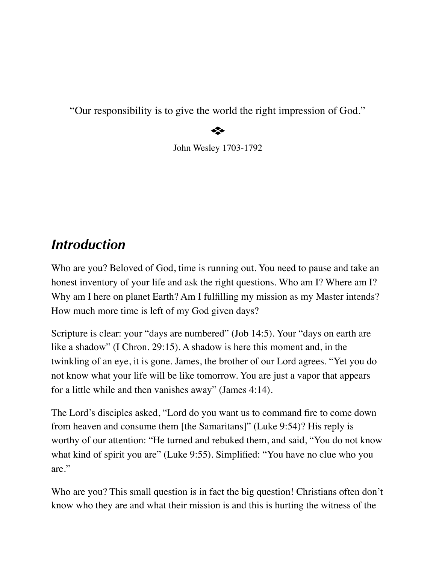"Our responsibility is to give the world the right impression of God."

# E

John Wesley 1703-1792

# *Introduction*

Who are you? Beloved of God, time is running out. You need to pause and take an honest inventory of your life and ask the right questions. Who am I? Where am I? Why am I here on planet Earth? Am I fulfilling my mission as my Master intends? How much more time is left of my God given days?

Scripture is clear: your "days are numbered" (Job 14:5). Your "days on earth are like a shadow" (I Chron. 29:15). A shadow is here this moment and, in the twinkling of an eye, it is gone. James, the brother of our Lord agrees. "Yet you do not know what your life will be like tomorrow. You are just a vapor that appears for a little while and then vanishes away" (James 4:14).

The Lord's disciples asked, "Lord do you want us to command fire to come down from heaven and consume them [the Samaritans]" (Luke 9:54)? His reply is worthy of our attention: "He turned and rebuked them, and said, "You do not know what kind of spirit you are" (Luke 9:55). Simplified: "You have no clue who you are."

Who are you? This small question is in fact the big question! Christians often don't know who they are and what their mission is and this is hurting the witness of the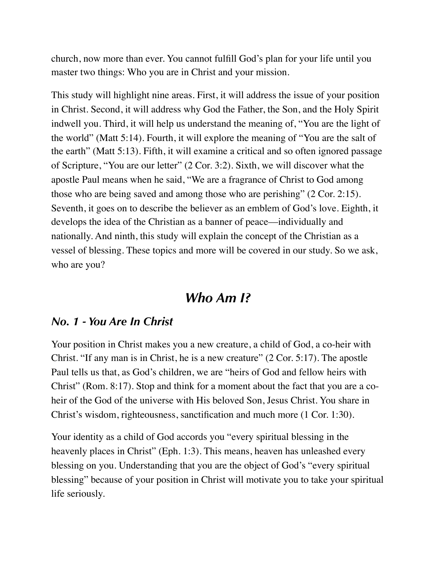church, now more than ever. You cannot fulfill God's plan for your life until you master two things: Who you are in Christ and your mission.

This study will highlight nine areas. First, it will address the issue of your position in Christ. Second, it will address why God the Father, the Son, and the Holy Spirit indwell you. Third, it will help us understand the meaning of, "You are the light of the world" (Matt 5:14). Fourth, it will explore the meaning of "You are the salt of the earth" (Matt 5:13). Fifth, it will examine a critical and so often ignored passage of Scripture, "You are our letter" (2 Cor. 3:2). Sixth, we will discover what the apostle Paul means when he said, "We are a fragrance of Christ to God among those who are being saved and among those who are perishing" (2 Cor. 2:15). Seventh, it goes on to describe the believer as an emblem of God's love. Eighth, it develops the idea of the Christian as a banner of peace––individually and nationally. And ninth, this study will explain the concept of the Christian as a vessel of blessing. These topics and more will be covered in our study. So we ask, who are you?

### *Who Am I?*

### *No. 1 - You Are In Christ*

Your position in Christ makes you a new creature, a child of God, a co-heir with Christ. "If any man is in Christ, he is a new creature" (2 Cor. 5:17). The apostle Paul tells us that, as God's children, we are "heirs of God and fellow heirs with Christ" (Rom. 8:17). Stop and think for a moment about the fact that you are a coheir of the God of the universe with His beloved Son, Jesus Christ. You share in Christ's wisdom, righteousness, sanctification and much more (1 Cor. 1:30).

Your identity as a child of God accords you "every spiritual blessing in the heavenly places in Christ" (Eph. 1:3). This means, heaven has unleashed every blessing on you. Understanding that you are the object of God's "every spiritual blessing" because of your position in Christ will motivate you to take your spiritual life seriously.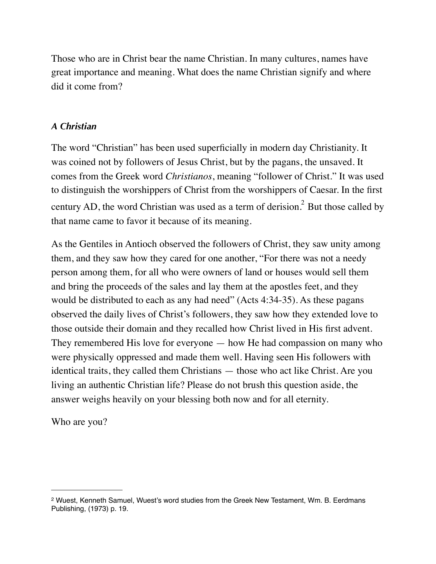Those who are in Christ bear the name Christian. In many cultures, names have great importance and meaning. What does the name Christian signify and where did it come from?

#### *A Christian*

The word "Christian" has been used superficially in modern day Christianity. It was coined not by followers of Jesus Christ, but by the pagans, the unsaved. It comes from the Greek word *Christianos*, meaning "follower of Christ." It was used to distinguish the worshippers of Christ from the worshippers of Caesar. In the first century AD, the word Christian was used as a term of derision.<sup>2</sup> But those called by that name came to favor it because of its meaning.

As the Gentiles in Antioch observed the followers of Christ, they saw unity among them, and they saw how they cared for one another, "For there was not a needy person among them, for all who were owners of land or houses would sell them and bring the proceeds of the sales and lay them at the apostles feet, and they would be distributed to each as any had need" (Acts 4:34-35). As these pagans observed the daily lives of Christ's followers, they saw how they extended love to those outside their domain and they recalled how Christ lived in His first advent. They remembered His love for everyone — how He had compassion on many who were physically oppressed and made them well. Having seen His followers with identical traits, they called them Christians — those who act like Christ. Are you living an authentic Christian life? Please do not brush this question aside, the answer weighs heavily on your blessing both now and for all eternity.

Who are you?

<span id="page-5-0"></span><sup>2</sup> Wuest, Kenneth Samuel, Wuest's word studies from the Greek New Testament, Wm. B. Eerdmans Publishing, (1973) p. 19.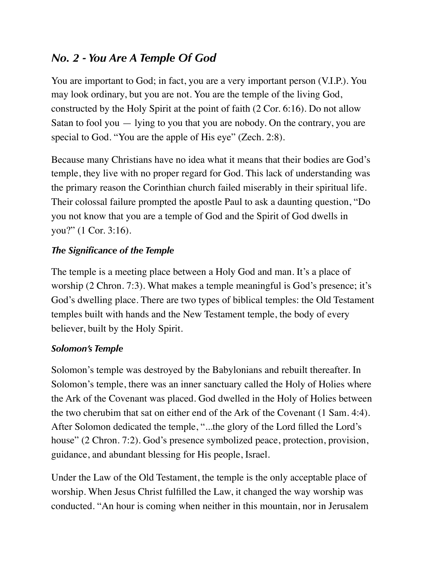## *No. 2 - You Are A Temple Of God*

You are important to God; in fact, you are a very important person (V.I.P.). You may look ordinary, but you are not. You are the temple of the living God, constructed by the Holy Spirit at the point of faith (2 Cor. 6:16). Do not allow Satan to fool you  $-$  lying to you that you are nobody. On the contrary, you are special to God. "You are the apple of His eye" (Zech. 2:8).

Because many Christians have no idea what it means that their bodies are God's temple, they live with no proper regard for God. This lack of understanding was the primary reason the Corinthian church failed miserably in their spiritual life. Their colossal failure prompted the apostle Paul to ask a daunting question, "Do you not know that you are a temple of God and the Spirit of God dwells in you?" (1 Cor. 3:16).

### *The Significance of the Temple*

The temple is a meeting place between a Holy God and man. It's a place of worship (2 Chron. 7:3). What makes a temple meaningful is God's presence; it's God's dwelling place. There are two types of biblical temples: the Old Testament temples built with hands and the New Testament temple, the body of every believer, built by the Holy Spirit.

### *Solomon's Temple*

Solomon's temple was destroyed by the Babylonians and rebuilt thereafter. In Solomon's temple, there was an inner sanctuary called the Holy of Holies where the Ark of the Covenant was placed. God dwelled in the Holy of Holies between the two cherubim that sat on either end of the Ark of the Covenant (1 Sam. 4:4). After Solomon dedicated the temple, "...the glory of the Lord filled the Lord's house" (2 Chron. 7:2). God's presence symbolized peace, protection, provision, guidance, and abundant blessing for His people, Israel.

Under the Law of the Old Testament, the temple is the only acceptable place of worship. When Jesus Christ fulfilled the Law, it changed the way worship was conducted. "An hour is coming when neither in this mountain, nor in Jerusalem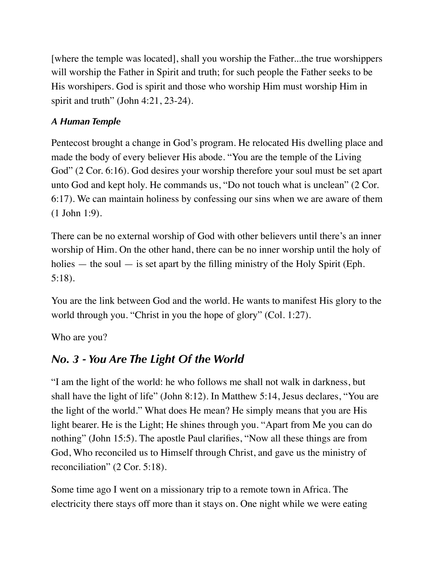[where the temple was located], shall you worship the Father...the true worshippers will worship the Father in Spirit and truth; for such people the Father seeks to be His worshipers. God is spirit and those who worship Him must worship Him in spirit and truth" (John  $4:21$ ,  $23-24$ ).

### *A Human Temple*

Pentecost brought a change in God's program. He relocated His dwelling place and made the body of every believer His abode. "You are the temple of the Living God" (2 Cor. 6:16). God desires your worship therefore your soul must be set apart unto God and kept holy. He commands us, "Do not touch what is unclean" (2 Cor. 6:17). We can maintain holiness by confessing our sins when we are aware of them (1 John 1:9).

There can be no external worship of God with other believers until there's an inner worship of Him. On the other hand, there can be no inner worship until the holy of holies  $-$  the soul  $-$  is set apart by the filling ministry of the Holy Spirit (Eph. 5:18).

You are the link between God and the world. He wants to manifest His glory to the world through you. "Christ in you the hope of glory" (Col. 1:27).

Who are you?

## *No. 3 - You Are The Light Of the World*

"I am the light of the world: he who follows me shall not walk in darkness, but shall have the light of life" (John 8:12). In Matthew 5:14, Jesus declares, "You are the light of the world." What does He mean? He simply means that you are His light bearer. He is the Light; He shines through you. "Apart from Me you can do nothing" (John 15:5). The apostle Paul clarifies, "Now all these things are from God, Who reconciled us to Himself through Christ, and gave us the ministry of reconciliation" (2 Cor. 5:18).

Some time ago I went on a missionary trip to a remote town in Africa. The electricity there stays off more than it stays on. One night while we were eating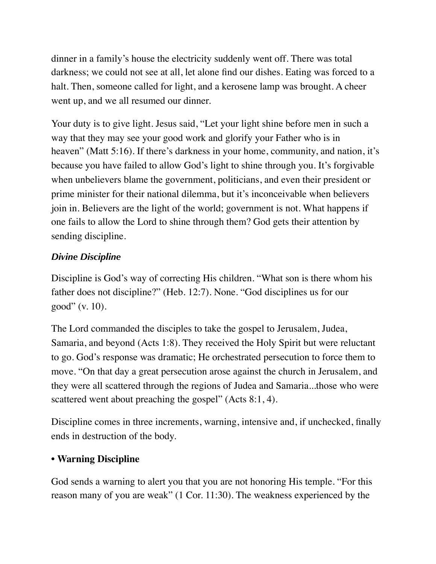dinner in a family's house the electricity suddenly went off. There was total darkness; we could not see at all, let alone find our dishes. Eating was forced to a halt. Then, someone called for light, and a kerosene lamp was brought. A cheer went up, and we all resumed our dinner.

Your duty is to give light. Jesus said, "Let your light shine before men in such a way that they may see your good work and glorify your Father who is in heaven" (Matt 5:16). If there's darkness in your home, community, and nation, it's because you have failed to allow God's light to shine through you. It's forgivable when unbelievers blame the government, politicians, and even their president or prime minister for their national dilemma, but it's inconceivable when believers join in. Believers are the light of the world; government is not. What happens if one fails to allow the Lord to shine through them? God gets their attention by sending discipline.

### *Divine Discipline*

Discipline is God's way of correcting His children. "What son is there whom his father does not discipline?" (Heb. 12:7). None. "God disciplines us for our good"  $(v. 10)$ .

The Lord commanded the disciples to take the gospel to Jerusalem, Judea, Samaria, and beyond (Acts 1:8). They received the Holy Spirit but were reluctant to go. God's response was dramatic; He orchestrated persecution to force them to move. "On that day a great persecution arose against the church in Jerusalem, and they were all scattered through the regions of Judea and Samaria...those who were scattered went about preaching the gospel" (Acts 8:1, 4).

Discipline comes in three increments, warning, intensive and, if unchecked, finally ends in destruction of the body.

### • **Warning Discipline**

God sends a warning to alert you that you are not honoring His temple. "For this reason many of you are weak" (1 Cor. 11:30). The weakness experienced by the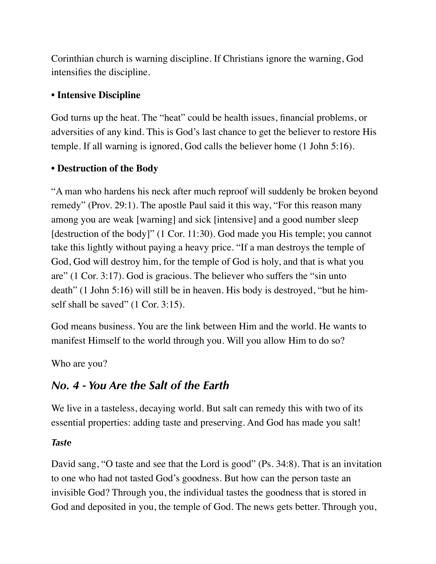Corinthian church is warning discipline. If Christians ignore the warning, God intensifies the discipline.

### • **Intensive Discipline**

God turns up the heat. The "heat" could be health issues, financial problems, or adversities of any kind. This is God's last chance to get the believer to restore His temple. If all warning is ignored, God calls the believer home (1 John 5:16).

### • **Destruction of the Body**

"A man who hardens his neck after much reproof will suddenly be broken beyond remedy" (Prov. 29:1). The apostle Paul said it this way, "For this reason many among you are weak [warning] and sick [intensive] and a good number sleep [destruction of the body]" (1 Cor. 11:30). God made you His temple; you cannot take this lightly without paying a heavy price. "If a man destroys the temple of God, God will destroy him, for the temple of God is holy, and that is what you are" (1 Cor. 3:17). God is gracious. The believer who suffers the "sin unto death" (1 John 5:16) will still be in heaven. His body is destroyed, "but he himself shall be saved" (1 Cor. 3:15).

God means business. You are the link between Him and the world. He wants to manifest Himself to the world through you. Will you allow Him to do so?

### Who are you?

## *No. 4 - You Are the Salt of the Earth*

We live in a tasteless, decaying world. But salt can remedy this with two of its essential properties: adding taste and preserving. And God has made you salt!

### *Taste*

David sang, "O taste and see that the Lord is good" (Ps. 34:8). That is an invitation to one who had not tasted God's goodness. But how can the person taste an invisible God? Through you, the individual tastes the goodness that is stored in God and deposited in you, the temple of God. The news gets better. Through you,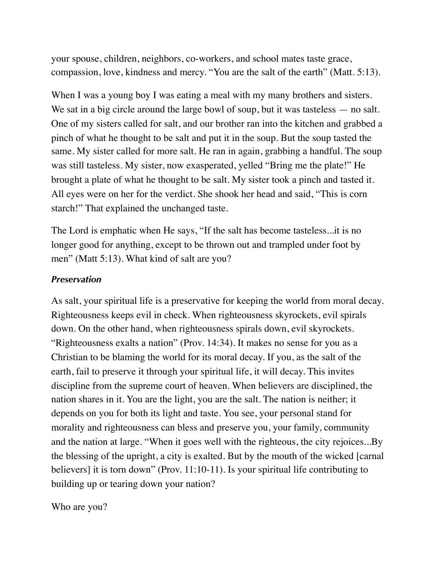your spouse, children, neighbors, co-workers, and school mates taste grace, compassion, love, kindness and mercy. "You are the salt of the earth" (Matt. 5:13).

When I was a young boy I was eating a meal with my many brothers and sisters. We sat in a big circle around the large bowl of soup, but it was tasteless — no salt. One of my sisters called for salt, and our brother ran into the kitchen and grabbed a pinch of what he thought to be salt and put it in the soup. But the soup tasted the same. My sister called for more salt. He ran in again, grabbing a handful. The soup was still tasteless. My sister, now exasperated, yelled "Bring me the plate!" He brought a plate of what he thought to be salt. My sister took a pinch and tasted it. All eyes were on her for the verdict. She shook her head and said, "This is corn starch!" That explained the unchanged taste.

The Lord is emphatic when He says, "If the salt has become tasteless...it is no longer good for anything, except to be thrown out and trampled under foot by men" (Matt 5:13). What kind of salt are you?

#### *Preservation*

As salt, your spiritual life is a preservative for keeping the world from moral decay. Righteousness keeps evil in check. When righteousness skyrockets, evil spirals down. On the other hand, when righteousness spirals down, evil skyrockets. "Righteousness exalts a nation" (Prov. 14:34). It makes no sense for you as a Christian to be blaming the world for its moral decay. If you, as the salt of the earth, fail to preserve it through your spiritual life, it will decay. This invites discipline from the supreme court of heaven. When believers are disciplined, the nation shares in it. You are the light, you are the salt. The nation is neither; it depends on you for both its light and taste. You see, your personal stand for morality and righteousness can bless and preserve you, your family, community and the nation at large. "When it goes well with the righteous, the city rejoices...By the blessing of the upright, a city is exalted. But by the mouth of the wicked [carnal believers] it is torn down" (Prov. 11:10-11). Is your spiritual life contributing to building up or tearing down your nation?

Who are you?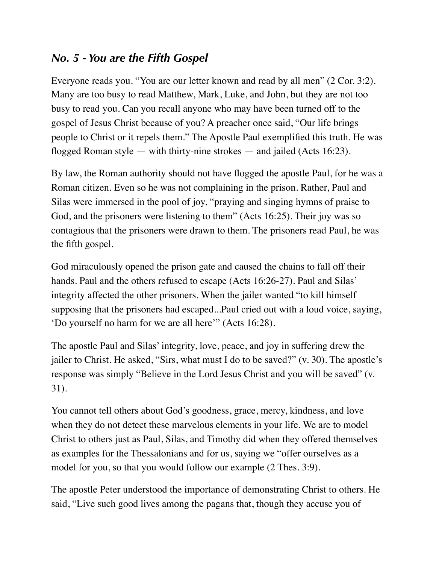## *No. 5 - You are the Fifth Gospel*

Everyone reads you. "You are our letter known and read by all men" (2 Cor. 3:2). Many are too busy to read Matthew, Mark, Luke, and John, but they are not too busy to read you. Can you recall anyone who may have been turned off to the gospel of Jesus Christ because of you? A preacher once said, "Our life brings people to Christ or it repels them." The Apostle Paul exemplified this truth. He was flogged Roman style — with thirty-nine strokes — and jailed (Acts 16:23).

By law, the Roman authority should not have flogged the apostle Paul, for he was a Roman citizen. Even so he was not complaining in the prison. Rather, Paul and Silas were immersed in the pool of joy, "praying and singing hymns of praise to God, and the prisoners were listening to them" (Acts 16:25). Their joy was so contagious that the prisoners were drawn to them. The prisoners read Paul, he was the fifth gospel.

God miraculously opened the prison gate and caused the chains to fall off their hands. Paul and the others refused to escape (Acts 16:26-27). Paul and Silas' integrity affected the other prisoners. When the jailer wanted "to kill himself supposing that the prisoners had escaped...Paul cried out with a loud voice, saying, 'Do yourself no harm for we are all here'" (Acts 16:28).

The apostle Paul and Silas' integrity, love, peace, and joy in suffering drew the jailer to Christ. He asked, "Sirs, what must I do to be saved?" (v. 30). The apostle's response was simply "Believe in the Lord Jesus Christ and you will be saved" (v. 31).

You cannot tell others about God's goodness, grace, mercy, kindness, and love when they do not detect these marvelous elements in your life. We are to model Christ to others just as Paul, Silas, and Timothy did when they offered themselves as examples for the Thessalonians and for us, saying we "offer ourselves as a model for you, so that you would follow our example (2 Thes. 3:9).

The apostle Peter understood the importance of demonstrating Christ to others. He said, "Live such good lives among the pagans that, though they accuse you of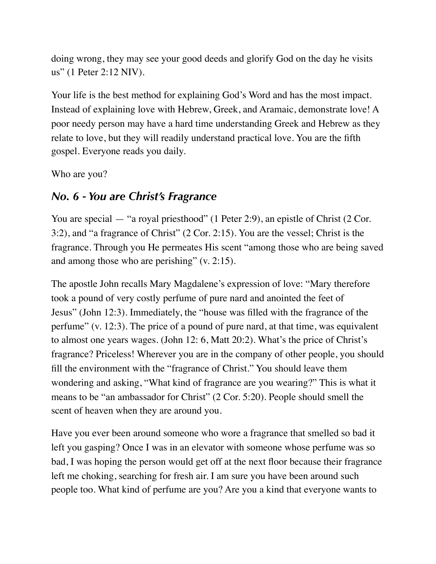doing wrong, they may see your good deeds and glorify God on the day he visits us" (1 Peter 2:12 NIV).

Your life is the best method for explaining God's Word and has the most impact. Instead of explaining love with Hebrew, Greek, and Aramaic, demonstrate love! A poor needy person may have a hard time understanding Greek and Hebrew as they relate to love, but they will readily understand practical love. You are the fifth gospel. Everyone reads you daily.

Who are you?

### *No. 6 - You are Christ's Fragrance*

You are special — "a royal priesthood" (1 Peter 2:9), an epistle of Christ (2 Cor. 3:2), and "a fragrance of Christ" (2 Cor. 2:15). You are the vessel; Christ is the fragrance. Through you He permeates His scent "among those who are being saved and among those who are perishing" (v. 2:15).

The apostle John recalls Mary Magdalene's expression of love: "Mary therefore took a pound of very costly perfume of pure nard and anointed the feet of Jesus" (John 12:3). Immediately, the "house was filled with the fragrance of the perfume" (v. 12:3). The price of a pound of pure nard, at that time, was equivalent to almost one years wages. (John 12: 6, Matt 20:2). What's the price of Christ's fragrance? Priceless! Wherever you are in the company of other people, you should fill the environment with the "fragrance of Christ." You should leave them wondering and asking, "What kind of fragrance are you wearing?" This is what it means to be "an ambassador for Christ" (2 Cor. 5:20). People should smell the scent of heaven when they are around you.

Have you ever been around someone who wore a fragrance that smelled so bad it left you gasping? Once I was in an elevator with someone whose perfume was so bad, I was hoping the person would get off at the next floor because their fragrance left me choking, searching for fresh air. I am sure you have been around such people too. What kind of perfume are you? Are you a kind that everyone wants to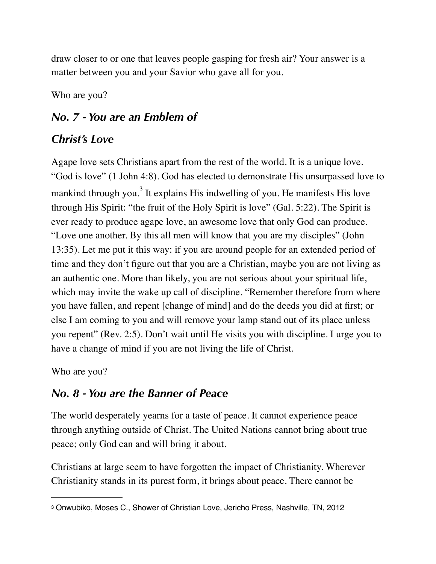draw closer to or one that leaves people gasping for fresh air? Your answer is a matter between you and your Savior who gave all for you.

Who are you?

### *No. 7 - You are an Emblem of*

### *Christ's Love*

Agape love sets Christians apart from the rest of the world. It is a unique love. "God is love" (1 John 4:8). God has elected to demonstrate His unsurpassed love to mankind through you.<sup>3</sup> It explains His indwelling of you. He manifests His love through His Spirit: "the fruit of the Holy Spirit is love" (Gal. 5:22). The Spirit is ever ready to produce agape love, an awesome love that only God can produce. "Love one another. By this all men will know that you are my disciples" (John 13:35). Let me put it this way: if you are around people for an extended period of time and they don't figure out that you are a Christian, maybe you are not living as an authentic one. More than likely, you are not serious about your spiritual life, which may invite the wake up call of discipline. "Remember therefore from where you have fallen, and repent [change of mind] and do the deeds you did at first; or else I am coming to you and will remove your lamp stand out of its place unless you repent" (Rev. 2:5). Don't wait until He visits you with discipline. I urge you to have a change of mind if you are not living the life of Christ.

Who are you?

### *No. 8 - You are the Banner of Peace*

The world desperately yearns for a taste of peace. It cannot experience peace through anything outside of Christ. The United Nations cannot bring about true peace; only God can and will bring it about.

Christians at large seem to have forgotten the impact of Christianity. Wherever Christianity stands in its purest form, it brings about peace. There cannot be

<span id="page-13-0"></span><sup>3</sup> Onwubiko, Moses C., Shower of Christian Love, Jericho Press, Nashville, TN, 2012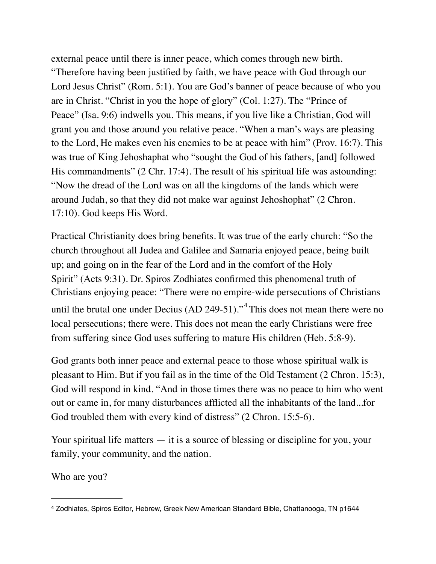external peace until there is inner peace, which comes through new birth. "Therefore having been justified by faith, we have peace with God through our Lord Jesus Christ" (Rom. 5:1). You are God's banner of peace because of who you are in Christ. "Christ in you the hope of glory" (Col. 1:27). The "Prince of Peace" (Isa. 9:6) indwells you. This means, if you live like a Christian, God will grant you and those around you relative peace. "When a man's ways are pleasing to the Lord, He makes even his enemies to be at peace with him" (Prov. 16:7). This was true of King Jehoshaphat who "sought the God of his fathers, [and] followed His commandments" (2 Chr. 17:4). The result of his spiritual life was astounding: "Now the dread of the Lord was on all the kingdoms of the lands which were around Judah, so that they did not make war against Jehoshophat" (2 Chron. 17:10). God keeps His Word.

Practical Christianity does bring benefits. It was true of the early church: "So the church throughout all Judea and Galilee and Samaria enjoyed peace, being built up; and going on in the fear of the Lord and in the comfort of the Holy Spirit" (Acts 9:31). Dr. Spiros Zodhiates confirmed this phenomenal truth of Christians enjoying peace: "There were no empire-wide persecutions of Christians until the brutal one under Decius (AD 2[4](#page-14-0)9-51)."<sup>4</sup> This does not mean there were no local persecutions; there were. This does not mean the early Christians were free from suffering since God uses suffering to mature His children (Heb. 5:8-9).

God grants both inner peace and external peace to those whose spiritual walk is pleasant to Him. But if you fail as in the time of the Old Testament (2 Chron. 15:3), God will respond in kind. "And in those times there was no peace to him who went out or came in, for many disturbances afflicted all the inhabitants of the land...for God troubled them with every kind of distress" (2 Chron. 15:5-6).

Your spiritual life matters  $-$  it is a source of blessing or discipline for you, your family, your community, and the nation.

Who are you?

<span id="page-14-0"></span><sup>4</sup> Zodhiates, Spiros Editor, Hebrew, Greek New American Standard Bible, Chattanooga, TN p1644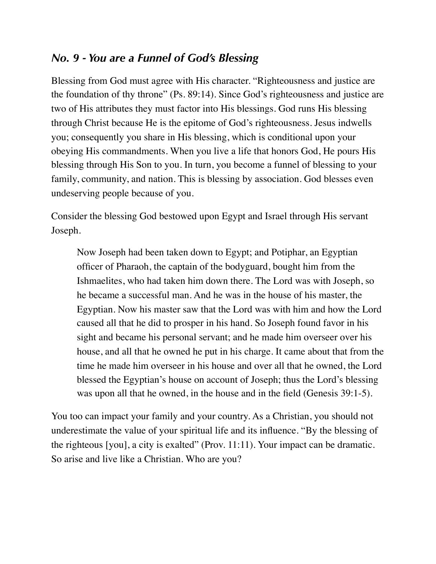## *No. 9 - You are a Funnel of God's Blessing*

Blessing from God must agree with His character. "Righteousness and justice are the foundation of thy throne" (Ps. 89:14). Since God's righteousness and justice are two of His attributes they must factor into His blessings. God runs His blessing through Christ because He is the epitome of God's righteousness. Jesus indwells you; consequently you share in His blessing, which is conditional upon your obeying His commandments. When you live a life that honors God, He pours His blessing through His Son to you. In turn, you become a funnel of blessing to your family, community, and nation. This is blessing by association. God blesses even undeserving people because of you.

Consider the blessing God bestowed upon Egypt and Israel through His servant Joseph.

Now Joseph had been taken down to Egypt; and Potiphar, an Egyptian officer of Pharaoh, the captain of the bodyguard, bought him from the Ishmaelites, who had taken him down there. The Lord was with Joseph, so he became a successful man. And he was in the house of his master, the Egyptian. Now his master saw that the Lord was with him and how the Lord caused all that he did to prosper in his hand. So Joseph found favor in his sight and became his personal servant; and he made him overseer over his house, and all that he owned he put in his charge. It came about that from the time he made him overseer in his house and over all that he owned, the Lord blessed the Egyptian's house on account of Joseph; thus the Lord's blessing was upon all that he owned, in the house and in the field (Genesis 39:1-5).

You too can impact your family and your country. As a Christian, you should not underestimate the value of your spiritual life and its influence. "By the blessing of the righteous [you], a city is exalted" (Prov. 11:11). Your impact can be dramatic. So arise and live like a Christian. Who are you?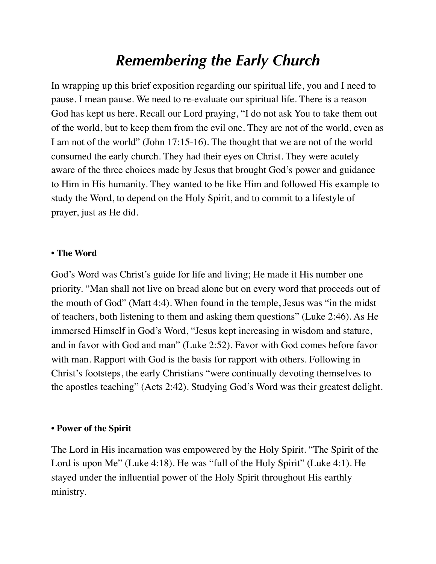# *Remembering the Early Church*

In wrapping up this brief exposition regarding our spiritual life, you and I need to pause. I mean pause. We need to re-evaluate our spiritual life. There is a reason God has kept us here. Recall our Lord praying, "I do not ask You to take them out of the world, but to keep them from the evil one. They are not of the world, even as I am not of the world" (John 17:15-16). The thought that we are not of the world consumed the early church. They had their eyes on Christ. They were acutely aware of the three choices made by Jesus that brought God's power and guidance to Him in His humanity. They wanted to be like Him and followed His example to study the Word, to depend on the Holy Spirit, and to commit to a lifestyle of prayer, just as He did.

#### • **The Word**

God's Word was Christ's guide for life and living; He made it His number one priority. "Man shall not live on bread alone but on every word that proceeds out of the mouth of God" (Matt 4:4). When found in the temple, Jesus was "in the midst of teachers, both listening to them and asking them questions" (Luke 2:46). As He immersed Himself in God's Word, "Jesus kept increasing in wisdom and stature, and in favor with God and man" (Luke 2:52). Favor with God comes before favor with man. Rapport with God is the basis for rapport with others. Following in Christ's footsteps, the early Christians "were continually devoting themselves to the apostles teaching" (Acts 2:42). Studying God's Word was their greatest delight.

#### • **Power of the Spirit**

The Lord in His incarnation was empowered by the Holy Spirit. "The Spirit of the Lord is upon Me" (Luke 4:18). He was "full of the Holy Spirit" (Luke 4:1). He stayed under the influential power of the Holy Spirit throughout His earthly ministry.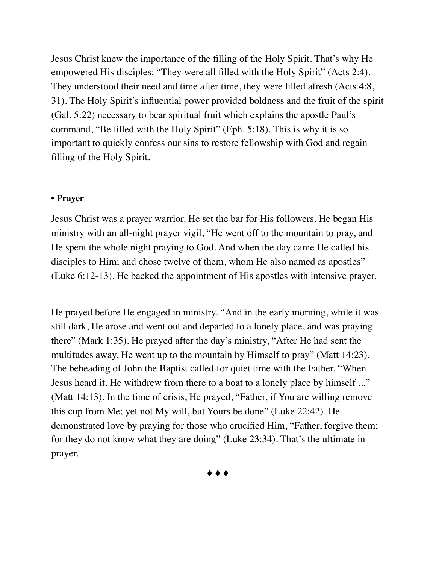Jesus Christ knew the importance of the filling of the Holy Spirit. That's why He empowered His disciples: "They were all filled with the Holy Spirit" (Acts 2:4). They understood their need and time after time, they were filled afresh (Acts 4:8, 31). The Holy Spirit's influential power provided boldness and the fruit of the spirit (Gal. 5:22) necessary to bear spiritual fruit which explains the apostle Paul's command, "Be filled with the Holy Spirit" (Eph. 5:18). This is why it is so important to quickly confess our sins to restore fellowship with God and regain filling of the Holy Spirit.

#### • **Prayer**

Jesus Christ was a prayer warrior. He set the bar for His followers. He began His ministry with an all-night prayer vigil, "He went off to the mountain to pray, and He spent the whole night praying to God. And when the day came He called his disciples to Him; and chose twelve of them, whom He also named as apostles" (Luke 6:12-13). He backed the appointment of His apostles with intensive prayer.

He prayed before He engaged in ministry. "And in the early morning, while it was still dark, He arose and went out and departed to a lonely place, and was praying there" (Mark 1:35). He prayed after the day's ministry, "After He had sent the multitudes away, He went up to the mountain by Himself to pray" (Matt 14:23). The beheading of John the Baptist called for quiet time with the Father. "When Jesus heard it, He withdrew from there to a boat to a lonely place by himself ..." (Matt 14:13). In the time of crisis, He prayed, "Father, if You are willing remove this cup from Me; yet not My will, but Yours be done" (Luke 22:42). He demonstrated love by praying for those who crucified Him, "Father, forgive them; for they do not know what they are doing" (Luke 23:34). That's the ultimate in prayer.

♦ ♦ ♦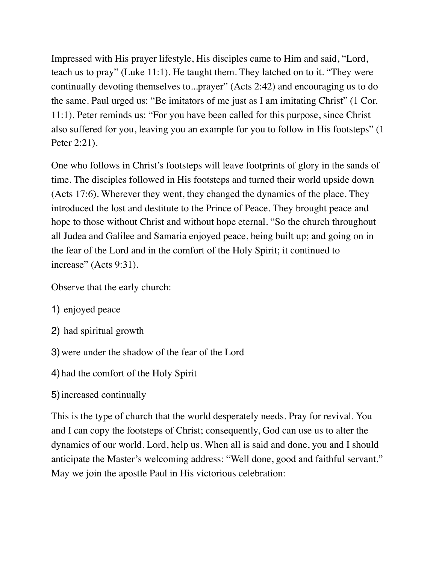Impressed with His prayer lifestyle, His disciples came to Him and said, "Lord, teach us to pray" (Luke 11:1). He taught them. They latched on to it. "They were continually devoting themselves to...prayer" (Acts 2:42) and encouraging us to do the same. Paul urged us: "Be imitators of me just as I am imitating Christ" (1 Cor. 11:1). Peter reminds us: "For you have been called for this purpose, since Christ also suffered for you, leaving you an example for you to follow in His footsteps" (1 Peter 2:21).

One who follows in Christ's footsteps will leave footprints of glory in the sands of time. The disciples followed in His footsteps and turned their world upside down (Acts 17:6). Wherever they went, they changed the dynamics of the place. They introduced the lost and destitute to the Prince of Peace. They brought peace and hope to those without Christ and without hope eternal. "So the church throughout all Judea and Galilee and Samaria enjoyed peace, being built up; and going on in the fear of the Lord and in the comfort of the Holy Spirit; it continued to increase" (Acts 9:31).

Observe that the early church:

- 1) enjoyed peace
- 2) had spiritual growth
- 3)were under the shadow of the fear of the Lord
- 4)had the comfort of the Holy Spirit
- 5)increased continually

This is the type of church that the world desperately needs. Pray for revival. You and I can copy the footsteps of Christ; consequently, God can use us to alter the dynamics of our world. Lord, help us. When all is said and done, you and I should anticipate the Master's welcoming address: "Well done, good and faithful servant." May we join the apostle Paul in His victorious celebration: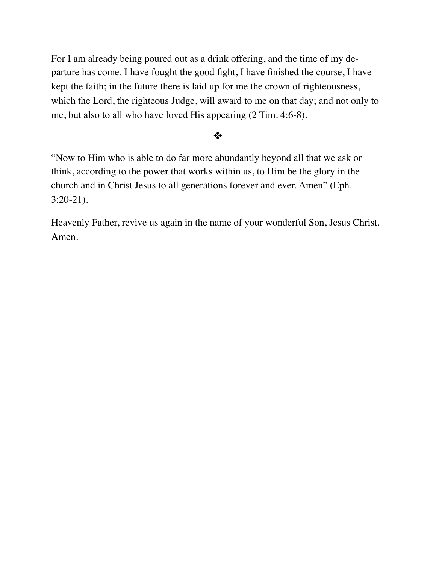For I am already being poured out as a drink offering, and the time of my departure has come. I have fought the good fight, I have finished the course, I have kept the faith; in the future there is laid up for me the crown of righteousness, which the Lord, the righteous Judge, will award to me on that day; and not only to me, but also to all who have loved His appearing (2 Tim. 4:6-8).

#### ❖

"Now to Him who is able to do far more abundantly beyond all that we ask or think, according to the power that works within us, to Him be the glory in the church and in Christ Jesus to all generations forever and ever. Amen" (Eph. 3:20-21).

Heavenly Father, revive us again in the name of your wonderful Son, Jesus Christ. Amen.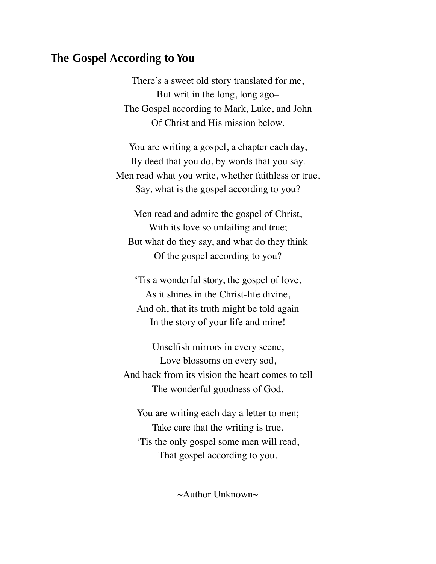### **The Gospel According to You**

There's a sweet old story translated for me, But writ in the long, long ago– The Gospel according to Mark, Luke, and John Of Christ and His mission below.

You are writing a gospel, a chapter each day, By deed that you do, by words that you say. Men read what you write, whether faithless or true, Say, what is the gospel according to you?

Men read and admire the gospel of Christ, With its love so unfailing and true; But what do they say, and what do they think Of the gospel according to you?

'Tis a wonderful story, the gospel of love, As it shines in the Christ-life divine, And oh, that its truth might be told again In the story of your life and mine!

Unselfish mirrors in every scene, Love blossoms on every sod, And back from its vision the heart comes to tell The wonderful goodness of God.

You are writing each day a letter to men; Take care that the writing is true. 'Tis the only gospel some men will read, That gospel according to you.

 $\sim$ Author Unknown $\sim$